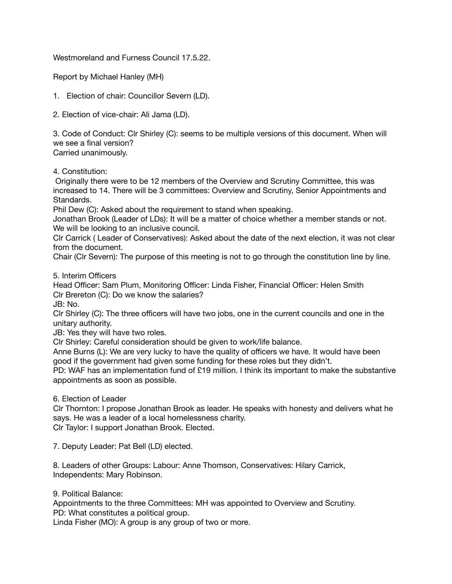Westmoreland and Furness Council 17.5.22.

Report by Michael Hanley (MH)

1. Election of chair: Councillor Severn (LD).

2. Election of vice-chair: Ali Jama (LD).

3. Code of Conduct: Clr Shirley (C): seems to be multiple versions of this document. When will we see a final version?

Carried unanimously.

4. Constitution:

 Originally there were to be 12 members of the Overview and Scrutiny Committee, this was increased to 14. There will be 3 committees: Overview and Scrutiny, Senior Appointments and Standards.

Phil Dew (C): Asked about the requirement to stand when speaking.

Jonathan Brook (Leader of LDs): It will be a matter of choice whether a member stands or not. We will be looking to an inclusive council.

Clr Carrick ( Leader of Conservatives): Asked about the date of the next election, it was not clear from the document.

Chair (Clr Severn): The purpose of this meeting is not to go through the constitution line by line.

5. Interim Officers

Head Officer: Sam Plum, Monitoring Officer: Linda Fisher, Financial Officer: Helen Smith Clr Brereton (C): Do we know the salaries?

JB: No.

Clr Shirley (C): The three officers will have two jobs, one in the current councils and one in the unitary authority.

JB: Yes they will have two roles.

Clr Shirley: Careful consideration should be given to work/life balance.

Anne Burns (L): We are very lucky to have the quality of officers we have. It would have been good if the government had given some funding for these roles but they didn't.

PD: WAF has an implementation fund of £19 million. I think its important to make the substantive appointments as soon as possible.

6. Election of Leader

Clr Thornton: I propose Jonathan Brook as leader. He speaks with honesty and delivers what he says. He was a leader of a local homelessness charity. Clr Taylor: I support Jonathan Brook. Elected.

7. Deputy Leader: Pat Bell (LD) elected.

8. Leaders of other Groups: Labour: Anne Thomson, Conservatives: Hilary Carrick, Independents: Mary Robinson.

9. Political Balance:

Appointments to the three Committees: MH was appointed to Overview and Scrutiny. PD: What constitutes a political group.

Linda Fisher (MO): A group is any group of two or more.